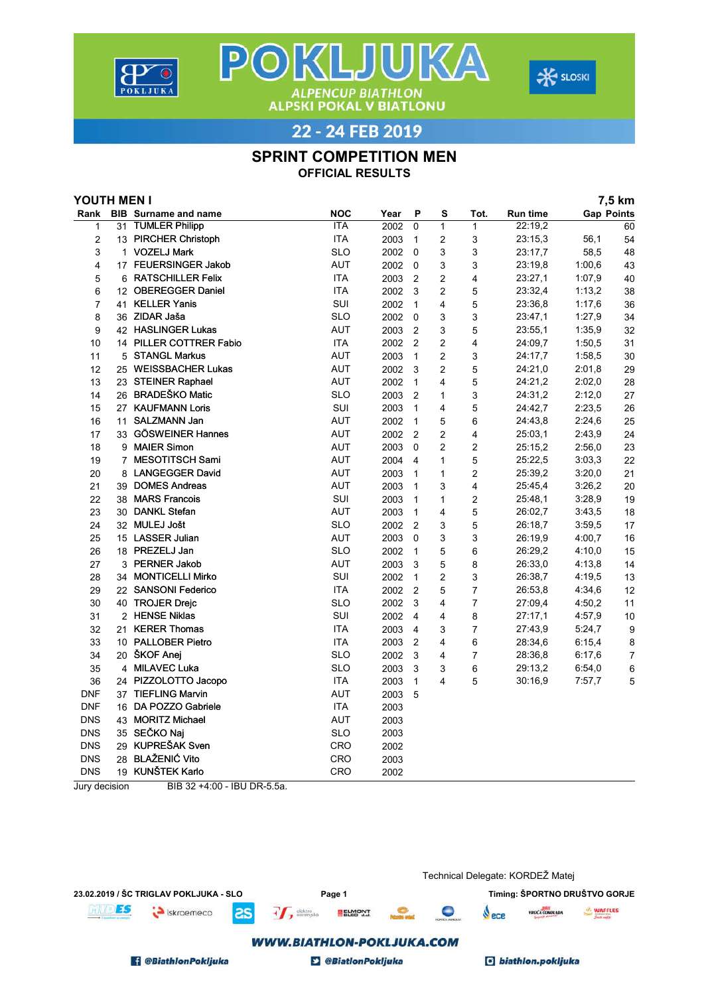



22 - 24 FEB 2019

**ALPENCUP BIATHLON<br>ALPSKI POKAL V BIATLONU** 

POKLJUKA

## SPRINT COMPETITION MEN

OFFICIAL RESULTS

| <b>Gap Points</b><br><b>BIB</b> Surname and name<br><b>NOC</b><br>Rank<br>Year<br>P<br>s<br>Tot.<br>Run time<br><b>ITA</b><br>22:19,2<br>31 TUMLER Philipp<br>2002<br>$\mathbf{0}$<br>$\mathbf{1}$<br>$\mathbf{1}$<br>60<br>1<br>$\overline{\mathbf{c}}$<br><b>ITA</b><br>3<br>13 PIRCHER Christoph<br>2003<br>$\mathbf{1}$<br>2<br>23:15,3<br>56,1<br>54<br><b>SLO</b><br>3<br>1 VOZELJ Mark<br>2002<br>3<br>3<br>58,5<br>48<br>$\Omega$<br>23:17,7<br><b>AUT</b><br>3<br>3<br>$\overline{4}$<br>17 FEUERSINGER Jakob<br>2002<br>$\mathbf 0$<br>23:19,8<br>1:00.6<br>43<br><b>ITA</b><br>$\overline{c}$<br>5<br>6 RATSCHILLER Felix<br>2003<br>$\overline{2}$<br>4<br>23:27,1<br>1:07,9<br>40<br><b>ITA</b><br>$\overline{2}$<br>12 OBEREGGER Daniel<br>3<br>5<br>23:32,4<br>1:13,2<br>38<br>6<br>2002<br>SUI<br>$\overline{7}$<br>41 KELLER Yanis<br>$\overline{4}$<br>5<br>2002<br>$\mathbf{1}$<br>23:36,8<br>1:17,6<br>36<br>8<br>36 ZIDAR Jaša<br><b>SLO</b><br>3<br>2002<br>$\Omega$<br>3<br>23:47,1<br>1:27,9<br>34<br>42 HASLINGER Lukas<br><b>AUT</b><br>9<br>2003<br>$\overline{2}$<br>3<br>5<br>23:55,1<br>1:35,9<br>32<br><b>ITA</b><br>14 PILLER COTTRER Fabio<br>$\overline{2}$<br>2<br>4<br>1:50,5<br>10<br>2002<br>24:09,7<br>31<br>5 STANGL Markus<br><b>AUT</b><br>$\overline{c}$<br>3<br>1:58,5<br>11<br>2003<br>$\mathbf{1}$<br>24:17,7<br>30<br>25 WEISSBACHER Lukas<br><b>AUT</b><br>$\overline{c}$<br>5<br>29<br>12<br>2002<br>3<br>24:21,0<br>2:01,8<br>23 STEINER Raphael<br><b>AUT</b><br>5<br>13<br>$\mathbf{1}$<br>4<br>24:21,2<br>2:02,0<br>28<br>2002<br>26 BRADEŠKO Matic<br><b>SLO</b><br>$\overline{2}$<br>3<br>24:31,2<br>2:12,0<br>14<br>2003<br>27<br>1<br>27 KAUFMANN Loris<br>SUI<br>2003<br>4<br>5<br>24:42,7<br>2:23,5<br>26<br>15<br>$\mathbf{1}$<br><b>AUT</b><br>11 SALZMANN Jan<br>$\mathbf{1}$<br>5<br>6<br>2:24,6<br>16<br>2002<br>24:43,8<br>25<br>33 GÖSWEINER Hannes<br><b>AUT</b><br>$\overline{2}$<br>$\overline{2}$<br>4<br>25:03,1<br>2:43.9<br>24<br>17<br>2002<br>9 MAIER Simon<br><b>AUT</b><br>$\overline{c}$<br>$\overline{2}$<br>18<br>2003<br>$\Omega$<br>25:15.2<br>2:56,0<br>23<br><b>AUT</b><br>5<br>19<br>7 MESOTITSCH Sami<br>2004<br>$\overline{\mathbf{4}}$<br>1<br>25:22,5<br>3:03,3<br>22<br>8 LANGEGGER David<br><b>AUT</b><br>$\overline{c}$<br>20<br>1<br>25:39,2<br>3:20,0<br>21<br>2003<br>$\mathbf{1}$<br><b>AUT</b><br>21<br>39 DOMES Andreas<br>3<br>4<br>3:26,2<br>20<br>2003<br>$\mathbf{1}$<br>25:45,4<br>SUI<br>38 MARS Francois<br>$\overline{2}$<br>3:28.9<br>19<br>22<br>2003<br>$\mathbf{1}$<br>1<br>25:48.1<br><b>AUT</b><br>30 DANKL Stefan<br>5<br>23<br>2003<br>$\mathbf{1}$<br>4<br>26:02,7<br>3:43,5<br>18<br><b>SLO</b><br>5<br>24<br>32 MULEJ Jošt<br>2002<br>$\overline{2}$<br>3<br>17<br>26:18,7<br>3:59,5<br><b>AUT</b><br>25<br>15 LASSER Julian<br>2003<br>$\mathbf 0$<br>3<br>3<br>4:00,7<br>16<br>26:19,9<br><b>SLO</b><br>18 PREZELJ Jan<br>5<br>6<br>26:29,2<br>4:10,0<br>26<br>2002<br>$\mathbf{1}$<br>15<br><b>AUT</b><br>3<br>5<br>8<br>27<br>3 PERNER Jakob<br>2003<br>26:33,0<br>4:13,8<br>14<br>SUI<br>$\overline{2}$<br>28<br>34 MONTICELLI Mirko<br>2002<br>$\mathbf{1}$<br>3<br>26:38,7<br>4:19,5<br>13<br><b>ITA</b><br>22 SANSONI Federico<br>$\overline{7}$<br>29<br>2002<br>$\overline{2}$<br>5<br>26:53,8<br>4:34,6<br>12<br><b>SLO</b><br>$\overline{7}$<br>30<br>40 TROJER Drejc<br>3<br>4<br>11<br>2002<br>27:09,4<br>4:50,2<br>SUI<br>2 HENSE Niklas<br>8<br>31<br>2002<br>$\overline{4}$<br>4<br>27:17,1<br>4:57,9<br>10<br><b>ITA</b><br>21 KERER Thomas<br>$\overline{7}$<br>32<br>2003<br>$\overline{4}$<br>3<br>27:43,9<br>5:24,7<br>9<br>10 PALLOBER Pietro<br><b>ITA</b><br>$\overline{2}$<br>33<br>2003<br>4<br>6<br>28:34,6<br>8<br>6:15,4<br>20 ŠKOF Anej<br><b>SLO</b><br>34<br>2002<br>3<br>$\overline{7}$<br>4<br>28:36,8<br>6:17,6<br>7<br>4 MILAVEC Luka<br><b>SLO</b><br>6<br>35<br>2003<br>3<br>3<br>29:13,2<br>6:54,0<br>6<br><b>ITA</b><br>$\mathbf{1}$<br>5<br>5<br>36<br>24 PIZZOLOTTO Jacopo<br>2003<br>4<br>30:16,9<br>7:57,7<br><b>AUT</b><br><b>DNF</b><br>37 TIEFLING Marvin<br>2003<br>5<br><b>DNF</b><br><b>ITA</b><br>16 DA POZZO Gabriele<br>2003<br>43 MORITZ Michael<br><b>DNS</b> | YOUTH MEN I |  |            |      |  |  |  | 7,5 km |  |
|--------------------------------------------------------------------------------------------------------------------------------------------------------------------------------------------------------------------------------------------------------------------------------------------------------------------------------------------------------------------------------------------------------------------------------------------------------------------------------------------------------------------------------------------------------------------------------------------------------------------------------------------------------------------------------------------------------------------------------------------------------------------------------------------------------------------------------------------------------------------------------------------------------------------------------------------------------------------------------------------------------------------------------------------------------------------------------------------------------------------------------------------------------------------------------------------------------------------------------------------------------------------------------------------------------------------------------------------------------------------------------------------------------------------------------------------------------------------------------------------------------------------------------------------------------------------------------------------------------------------------------------------------------------------------------------------------------------------------------------------------------------------------------------------------------------------------------------------------------------------------------------------------------------------------------------------------------------------------------------------------------------------------------------------------------------------------------------------------------------------------------------------------------------------------------------------------------------------------------------------------------------------------------------------------------------------------------------------------------------------------------------------------------------------------------------------------------------------------------------------------------------------------------------------------------------------------------------------------------------------------------------------------------------------------------------------------------------------------------------------------------------------------------------------------------------------------------------------------------------------------------------------------------------------------------------------------------------------------------------------------------------------------------------------------------------------------------------------------------------------------------------------------------------------------------------------------------------------------------------------------------------------------------------------------------------------------------------------------------------------------------------------------------------------------------------------------------------------------------------------------------------------------------------------------------------------------------------------------------------------------------------------------------------------------------------------------------------------------------------------------------------------------------------------------------------------------------------------------------------------------------------------------------------------------------------------------------------------------------------------------------------------------------------------------------------------------------------------------------------------------------------------------------------------------------------------------------------------------------------------|-------------|--|------------|------|--|--|--|--------|--|
|                                                                                                                                                                                                                                                                                                                                                                                                                                                                                                                                                                                                                                                                                                                                                                                                                                                                                                                                                                                                                                                                                                                                                                                                                                                                                                                                                                                                                                                                                                                                                                                                                                                                                                                                                                                                                                                                                                                                                                                                                                                                                                                                                                                                                                                                                                                                                                                                                                                                                                                                                                                                                                                                                                                                                                                                                                                                                                                                                                                                                                                                                                                                                                                                                                                                                                                                                                                                                                                                                                                                                                                                                                                                                                                                                                                                                                                                                                                                                                                                                                                                                                                                                                                                                                            |             |  |            |      |  |  |  |        |  |
|                                                                                                                                                                                                                                                                                                                                                                                                                                                                                                                                                                                                                                                                                                                                                                                                                                                                                                                                                                                                                                                                                                                                                                                                                                                                                                                                                                                                                                                                                                                                                                                                                                                                                                                                                                                                                                                                                                                                                                                                                                                                                                                                                                                                                                                                                                                                                                                                                                                                                                                                                                                                                                                                                                                                                                                                                                                                                                                                                                                                                                                                                                                                                                                                                                                                                                                                                                                                                                                                                                                                                                                                                                                                                                                                                                                                                                                                                                                                                                                                                                                                                                                                                                                                                                            |             |  |            |      |  |  |  |        |  |
|                                                                                                                                                                                                                                                                                                                                                                                                                                                                                                                                                                                                                                                                                                                                                                                                                                                                                                                                                                                                                                                                                                                                                                                                                                                                                                                                                                                                                                                                                                                                                                                                                                                                                                                                                                                                                                                                                                                                                                                                                                                                                                                                                                                                                                                                                                                                                                                                                                                                                                                                                                                                                                                                                                                                                                                                                                                                                                                                                                                                                                                                                                                                                                                                                                                                                                                                                                                                                                                                                                                                                                                                                                                                                                                                                                                                                                                                                                                                                                                                                                                                                                                                                                                                                                            |             |  |            |      |  |  |  |        |  |
|                                                                                                                                                                                                                                                                                                                                                                                                                                                                                                                                                                                                                                                                                                                                                                                                                                                                                                                                                                                                                                                                                                                                                                                                                                                                                                                                                                                                                                                                                                                                                                                                                                                                                                                                                                                                                                                                                                                                                                                                                                                                                                                                                                                                                                                                                                                                                                                                                                                                                                                                                                                                                                                                                                                                                                                                                                                                                                                                                                                                                                                                                                                                                                                                                                                                                                                                                                                                                                                                                                                                                                                                                                                                                                                                                                                                                                                                                                                                                                                                                                                                                                                                                                                                                                            |             |  |            |      |  |  |  |        |  |
|                                                                                                                                                                                                                                                                                                                                                                                                                                                                                                                                                                                                                                                                                                                                                                                                                                                                                                                                                                                                                                                                                                                                                                                                                                                                                                                                                                                                                                                                                                                                                                                                                                                                                                                                                                                                                                                                                                                                                                                                                                                                                                                                                                                                                                                                                                                                                                                                                                                                                                                                                                                                                                                                                                                                                                                                                                                                                                                                                                                                                                                                                                                                                                                                                                                                                                                                                                                                                                                                                                                                                                                                                                                                                                                                                                                                                                                                                                                                                                                                                                                                                                                                                                                                                                            |             |  |            |      |  |  |  |        |  |
|                                                                                                                                                                                                                                                                                                                                                                                                                                                                                                                                                                                                                                                                                                                                                                                                                                                                                                                                                                                                                                                                                                                                                                                                                                                                                                                                                                                                                                                                                                                                                                                                                                                                                                                                                                                                                                                                                                                                                                                                                                                                                                                                                                                                                                                                                                                                                                                                                                                                                                                                                                                                                                                                                                                                                                                                                                                                                                                                                                                                                                                                                                                                                                                                                                                                                                                                                                                                                                                                                                                                                                                                                                                                                                                                                                                                                                                                                                                                                                                                                                                                                                                                                                                                                                            |             |  |            |      |  |  |  |        |  |
|                                                                                                                                                                                                                                                                                                                                                                                                                                                                                                                                                                                                                                                                                                                                                                                                                                                                                                                                                                                                                                                                                                                                                                                                                                                                                                                                                                                                                                                                                                                                                                                                                                                                                                                                                                                                                                                                                                                                                                                                                                                                                                                                                                                                                                                                                                                                                                                                                                                                                                                                                                                                                                                                                                                                                                                                                                                                                                                                                                                                                                                                                                                                                                                                                                                                                                                                                                                                                                                                                                                                                                                                                                                                                                                                                                                                                                                                                                                                                                                                                                                                                                                                                                                                                                            |             |  |            |      |  |  |  |        |  |
|                                                                                                                                                                                                                                                                                                                                                                                                                                                                                                                                                                                                                                                                                                                                                                                                                                                                                                                                                                                                                                                                                                                                                                                                                                                                                                                                                                                                                                                                                                                                                                                                                                                                                                                                                                                                                                                                                                                                                                                                                                                                                                                                                                                                                                                                                                                                                                                                                                                                                                                                                                                                                                                                                                                                                                                                                                                                                                                                                                                                                                                                                                                                                                                                                                                                                                                                                                                                                                                                                                                                                                                                                                                                                                                                                                                                                                                                                                                                                                                                                                                                                                                                                                                                                                            |             |  |            |      |  |  |  |        |  |
|                                                                                                                                                                                                                                                                                                                                                                                                                                                                                                                                                                                                                                                                                                                                                                                                                                                                                                                                                                                                                                                                                                                                                                                                                                                                                                                                                                                                                                                                                                                                                                                                                                                                                                                                                                                                                                                                                                                                                                                                                                                                                                                                                                                                                                                                                                                                                                                                                                                                                                                                                                                                                                                                                                                                                                                                                                                                                                                                                                                                                                                                                                                                                                                                                                                                                                                                                                                                                                                                                                                                                                                                                                                                                                                                                                                                                                                                                                                                                                                                                                                                                                                                                                                                                                            |             |  |            |      |  |  |  |        |  |
|                                                                                                                                                                                                                                                                                                                                                                                                                                                                                                                                                                                                                                                                                                                                                                                                                                                                                                                                                                                                                                                                                                                                                                                                                                                                                                                                                                                                                                                                                                                                                                                                                                                                                                                                                                                                                                                                                                                                                                                                                                                                                                                                                                                                                                                                                                                                                                                                                                                                                                                                                                                                                                                                                                                                                                                                                                                                                                                                                                                                                                                                                                                                                                                                                                                                                                                                                                                                                                                                                                                                                                                                                                                                                                                                                                                                                                                                                                                                                                                                                                                                                                                                                                                                                                            |             |  |            |      |  |  |  |        |  |
|                                                                                                                                                                                                                                                                                                                                                                                                                                                                                                                                                                                                                                                                                                                                                                                                                                                                                                                                                                                                                                                                                                                                                                                                                                                                                                                                                                                                                                                                                                                                                                                                                                                                                                                                                                                                                                                                                                                                                                                                                                                                                                                                                                                                                                                                                                                                                                                                                                                                                                                                                                                                                                                                                                                                                                                                                                                                                                                                                                                                                                                                                                                                                                                                                                                                                                                                                                                                                                                                                                                                                                                                                                                                                                                                                                                                                                                                                                                                                                                                                                                                                                                                                                                                                                            |             |  |            |      |  |  |  |        |  |
|                                                                                                                                                                                                                                                                                                                                                                                                                                                                                                                                                                                                                                                                                                                                                                                                                                                                                                                                                                                                                                                                                                                                                                                                                                                                                                                                                                                                                                                                                                                                                                                                                                                                                                                                                                                                                                                                                                                                                                                                                                                                                                                                                                                                                                                                                                                                                                                                                                                                                                                                                                                                                                                                                                                                                                                                                                                                                                                                                                                                                                                                                                                                                                                                                                                                                                                                                                                                                                                                                                                                                                                                                                                                                                                                                                                                                                                                                                                                                                                                                                                                                                                                                                                                                                            |             |  |            |      |  |  |  |        |  |
|                                                                                                                                                                                                                                                                                                                                                                                                                                                                                                                                                                                                                                                                                                                                                                                                                                                                                                                                                                                                                                                                                                                                                                                                                                                                                                                                                                                                                                                                                                                                                                                                                                                                                                                                                                                                                                                                                                                                                                                                                                                                                                                                                                                                                                                                                                                                                                                                                                                                                                                                                                                                                                                                                                                                                                                                                                                                                                                                                                                                                                                                                                                                                                                                                                                                                                                                                                                                                                                                                                                                                                                                                                                                                                                                                                                                                                                                                                                                                                                                                                                                                                                                                                                                                                            |             |  |            |      |  |  |  |        |  |
|                                                                                                                                                                                                                                                                                                                                                                                                                                                                                                                                                                                                                                                                                                                                                                                                                                                                                                                                                                                                                                                                                                                                                                                                                                                                                                                                                                                                                                                                                                                                                                                                                                                                                                                                                                                                                                                                                                                                                                                                                                                                                                                                                                                                                                                                                                                                                                                                                                                                                                                                                                                                                                                                                                                                                                                                                                                                                                                                                                                                                                                                                                                                                                                                                                                                                                                                                                                                                                                                                                                                                                                                                                                                                                                                                                                                                                                                                                                                                                                                                                                                                                                                                                                                                                            |             |  |            |      |  |  |  |        |  |
|                                                                                                                                                                                                                                                                                                                                                                                                                                                                                                                                                                                                                                                                                                                                                                                                                                                                                                                                                                                                                                                                                                                                                                                                                                                                                                                                                                                                                                                                                                                                                                                                                                                                                                                                                                                                                                                                                                                                                                                                                                                                                                                                                                                                                                                                                                                                                                                                                                                                                                                                                                                                                                                                                                                                                                                                                                                                                                                                                                                                                                                                                                                                                                                                                                                                                                                                                                                                                                                                                                                                                                                                                                                                                                                                                                                                                                                                                                                                                                                                                                                                                                                                                                                                                                            |             |  |            |      |  |  |  |        |  |
|                                                                                                                                                                                                                                                                                                                                                                                                                                                                                                                                                                                                                                                                                                                                                                                                                                                                                                                                                                                                                                                                                                                                                                                                                                                                                                                                                                                                                                                                                                                                                                                                                                                                                                                                                                                                                                                                                                                                                                                                                                                                                                                                                                                                                                                                                                                                                                                                                                                                                                                                                                                                                                                                                                                                                                                                                                                                                                                                                                                                                                                                                                                                                                                                                                                                                                                                                                                                                                                                                                                                                                                                                                                                                                                                                                                                                                                                                                                                                                                                                                                                                                                                                                                                                                            |             |  |            |      |  |  |  |        |  |
|                                                                                                                                                                                                                                                                                                                                                                                                                                                                                                                                                                                                                                                                                                                                                                                                                                                                                                                                                                                                                                                                                                                                                                                                                                                                                                                                                                                                                                                                                                                                                                                                                                                                                                                                                                                                                                                                                                                                                                                                                                                                                                                                                                                                                                                                                                                                                                                                                                                                                                                                                                                                                                                                                                                                                                                                                                                                                                                                                                                                                                                                                                                                                                                                                                                                                                                                                                                                                                                                                                                                                                                                                                                                                                                                                                                                                                                                                                                                                                                                                                                                                                                                                                                                                                            |             |  |            |      |  |  |  |        |  |
|                                                                                                                                                                                                                                                                                                                                                                                                                                                                                                                                                                                                                                                                                                                                                                                                                                                                                                                                                                                                                                                                                                                                                                                                                                                                                                                                                                                                                                                                                                                                                                                                                                                                                                                                                                                                                                                                                                                                                                                                                                                                                                                                                                                                                                                                                                                                                                                                                                                                                                                                                                                                                                                                                                                                                                                                                                                                                                                                                                                                                                                                                                                                                                                                                                                                                                                                                                                                                                                                                                                                                                                                                                                                                                                                                                                                                                                                                                                                                                                                                                                                                                                                                                                                                                            |             |  |            |      |  |  |  |        |  |
|                                                                                                                                                                                                                                                                                                                                                                                                                                                                                                                                                                                                                                                                                                                                                                                                                                                                                                                                                                                                                                                                                                                                                                                                                                                                                                                                                                                                                                                                                                                                                                                                                                                                                                                                                                                                                                                                                                                                                                                                                                                                                                                                                                                                                                                                                                                                                                                                                                                                                                                                                                                                                                                                                                                                                                                                                                                                                                                                                                                                                                                                                                                                                                                                                                                                                                                                                                                                                                                                                                                                                                                                                                                                                                                                                                                                                                                                                                                                                                                                                                                                                                                                                                                                                                            |             |  |            |      |  |  |  |        |  |
|                                                                                                                                                                                                                                                                                                                                                                                                                                                                                                                                                                                                                                                                                                                                                                                                                                                                                                                                                                                                                                                                                                                                                                                                                                                                                                                                                                                                                                                                                                                                                                                                                                                                                                                                                                                                                                                                                                                                                                                                                                                                                                                                                                                                                                                                                                                                                                                                                                                                                                                                                                                                                                                                                                                                                                                                                                                                                                                                                                                                                                                                                                                                                                                                                                                                                                                                                                                                                                                                                                                                                                                                                                                                                                                                                                                                                                                                                                                                                                                                                                                                                                                                                                                                                                            |             |  |            |      |  |  |  |        |  |
|                                                                                                                                                                                                                                                                                                                                                                                                                                                                                                                                                                                                                                                                                                                                                                                                                                                                                                                                                                                                                                                                                                                                                                                                                                                                                                                                                                                                                                                                                                                                                                                                                                                                                                                                                                                                                                                                                                                                                                                                                                                                                                                                                                                                                                                                                                                                                                                                                                                                                                                                                                                                                                                                                                                                                                                                                                                                                                                                                                                                                                                                                                                                                                                                                                                                                                                                                                                                                                                                                                                                                                                                                                                                                                                                                                                                                                                                                                                                                                                                                                                                                                                                                                                                                                            |             |  |            |      |  |  |  |        |  |
|                                                                                                                                                                                                                                                                                                                                                                                                                                                                                                                                                                                                                                                                                                                                                                                                                                                                                                                                                                                                                                                                                                                                                                                                                                                                                                                                                                                                                                                                                                                                                                                                                                                                                                                                                                                                                                                                                                                                                                                                                                                                                                                                                                                                                                                                                                                                                                                                                                                                                                                                                                                                                                                                                                                                                                                                                                                                                                                                                                                                                                                                                                                                                                                                                                                                                                                                                                                                                                                                                                                                                                                                                                                                                                                                                                                                                                                                                                                                                                                                                                                                                                                                                                                                                                            |             |  |            |      |  |  |  |        |  |
|                                                                                                                                                                                                                                                                                                                                                                                                                                                                                                                                                                                                                                                                                                                                                                                                                                                                                                                                                                                                                                                                                                                                                                                                                                                                                                                                                                                                                                                                                                                                                                                                                                                                                                                                                                                                                                                                                                                                                                                                                                                                                                                                                                                                                                                                                                                                                                                                                                                                                                                                                                                                                                                                                                                                                                                                                                                                                                                                                                                                                                                                                                                                                                                                                                                                                                                                                                                                                                                                                                                                                                                                                                                                                                                                                                                                                                                                                                                                                                                                                                                                                                                                                                                                                                            |             |  |            |      |  |  |  |        |  |
|                                                                                                                                                                                                                                                                                                                                                                                                                                                                                                                                                                                                                                                                                                                                                                                                                                                                                                                                                                                                                                                                                                                                                                                                                                                                                                                                                                                                                                                                                                                                                                                                                                                                                                                                                                                                                                                                                                                                                                                                                                                                                                                                                                                                                                                                                                                                                                                                                                                                                                                                                                                                                                                                                                                                                                                                                                                                                                                                                                                                                                                                                                                                                                                                                                                                                                                                                                                                                                                                                                                                                                                                                                                                                                                                                                                                                                                                                                                                                                                                                                                                                                                                                                                                                                            |             |  |            |      |  |  |  |        |  |
|                                                                                                                                                                                                                                                                                                                                                                                                                                                                                                                                                                                                                                                                                                                                                                                                                                                                                                                                                                                                                                                                                                                                                                                                                                                                                                                                                                                                                                                                                                                                                                                                                                                                                                                                                                                                                                                                                                                                                                                                                                                                                                                                                                                                                                                                                                                                                                                                                                                                                                                                                                                                                                                                                                                                                                                                                                                                                                                                                                                                                                                                                                                                                                                                                                                                                                                                                                                                                                                                                                                                                                                                                                                                                                                                                                                                                                                                                                                                                                                                                                                                                                                                                                                                                                            |             |  |            |      |  |  |  |        |  |
|                                                                                                                                                                                                                                                                                                                                                                                                                                                                                                                                                                                                                                                                                                                                                                                                                                                                                                                                                                                                                                                                                                                                                                                                                                                                                                                                                                                                                                                                                                                                                                                                                                                                                                                                                                                                                                                                                                                                                                                                                                                                                                                                                                                                                                                                                                                                                                                                                                                                                                                                                                                                                                                                                                                                                                                                                                                                                                                                                                                                                                                                                                                                                                                                                                                                                                                                                                                                                                                                                                                                                                                                                                                                                                                                                                                                                                                                                                                                                                                                                                                                                                                                                                                                                                            |             |  |            |      |  |  |  |        |  |
|                                                                                                                                                                                                                                                                                                                                                                                                                                                                                                                                                                                                                                                                                                                                                                                                                                                                                                                                                                                                                                                                                                                                                                                                                                                                                                                                                                                                                                                                                                                                                                                                                                                                                                                                                                                                                                                                                                                                                                                                                                                                                                                                                                                                                                                                                                                                                                                                                                                                                                                                                                                                                                                                                                                                                                                                                                                                                                                                                                                                                                                                                                                                                                                                                                                                                                                                                                                                                                                                                                                                                                                                                                                                                                                                                                                                                                                                                                                                                                                                                                                                                                                                                                                                                                            |             |  |            |      |  |  |  |        |  |
|                                                                                                                                                                                                                                                                                                                                                                                                                                                                                                                                                                                                                                                                                                                                                                                                                                                                                                                                                                                                                                                                                                                                                                                                                                                                                                                                                                                                                                                                                                                                                                                                                                                                                                                                                                                                                                                                                                                                                                                                                                                                                                                                                                                                                                                                                                                                                                                                                                                                                                                                                                                                                                                                                                                                                                                                                                                                                                                                                                                                                                                                                                                                                                                                                                                                                                                                                                                                                                                                                                                                                                                                                                                                                                                                                                                                                                                                                                                                                                                                                                                                                                                                                                                                                                            |             |  |            |      |  |  |  |        |  |
|                                                                                                                                                                                                                                                                                                                                                                                                                                                                                                                                                                                                                                                                                                                                                                                                                                                                                                                                                                                                                                                                                                                                                                                                                                                                                                                                                                                                                                                                                                                                                                                                                                                                                                                                                                                                                                                                                                                                                                                                                                                                                                                                                                                                                                                                                                                                                                                                                                                                                                                                                                                                                                                                                                                                                                                                                                                                                                                                                                                                                                                                                                                                                                                                                                                                                                                                                                                                                                                                                                                                                                                                                                                                                                                                                                                                                                                                                                                                                                                                                                                                                                                                                                                                                                            |             |  |            |      |  |  |  |        |  |
|                                                                                                                                                                                                                                                                                                                                                                                                                                                                                                                                                                                                                                                                                                                                                                                                                                                                                                                                                                                                                                                                                                                                                                                                                                                                                                                                                                                                                                                                                                                                                                                                                                                                                                                                                                                                                                                                                                                                                                                                                                                                                                                                                                                                                                                                                                                                                                                                                                                                                                                                                                                                                                                                                                                                                                                                                                                                                                                                                                                                                                                                                                                                                                                                                                                                                                                                                                                                                                                                                                                                                                                                                                                                                                                                                                                                                                                                                                                                                                                                                                                                                                                                                                                                                                            |             |  |            |      |  |  |  |        |  |
|                                                                                                                                                                                                                                                                                                                                                                                                                                                                                                                                                                                                                                                                                                                                                                                                                                                                                                                                                                                                                                                                                                                                                                                                                                                                                                                                                                                                                                                                                                                                                                                                                                                                                                                                                                                                                                                                                                                                                                                                                                                                                                                                                                                                                                                                                                                                                                                                                                                                                                                                                                                                                                                                                                                                                                                                                                                                                                                                                                                                                                                                                                                                                                                                                                                                                                                                                                                                                                                                                                                                                                                                                                                                                                                                                                                                                                                                                                                                                                                                                                                                                                                                                                                                                                            |             |  |            |      |  |  |  |        |  |
|                                                                                                                                                                                                                                                                                                                                                                                                                                                                                                                                                                                                                                                                                                                                                                                                                                                                                                                                                                                                                                                                                                                                                                                                                                                                                                                                                                                                                                                                                                                                                                                                                                                                                                                                                                                                                                                                                                                                                                                                                                                                                                                                                                                                                                                                                                                                                                                                                                                                                                                                                                                                                                                                                                                                                                                                                                                                                                                                                                                                                                                                                                                                                                                                                                                                                                                                                                                                                                                                                                                                                                                                                                                                                                                                                                                                                                                                                                                                                                                                                                                                                                                                                                                                                                            |             |  |            |      |  |  |  |        |  |
|                                                                                                                                                                                                                                                                                                                                                                                                                                                                                                                                                                                                                                                                                                                                                                                                                                                                                                                                                                                                                                                                                                                                                                                                                                                                                                                                                                                                                                                                                                                                                                                                                                                                                                                                                                                                                                                                                                                                                                                                                                                                                                                                                                                                                                                                                                                                                                                                                                                                                                                                                                                                                                                                                                                                                                                                                                                                                                                                                                                                                                                                                                                                                                                                                                                                                                                                                                                                                                                                                                                                                                                                                                                                                                                                                                                                                                                                                                                                                                                                                                                                                                                                                                                                                                            |             |  |            |      |  |  |  |        |  |
|                                                                                                                                                                                                                                                                                                                                                                                                                                                                                                                                                                                                                                                                                                                                                                                                                                                                                                                                                                                                                                                                                                                                                                                                                                                                                                                                                                                                                                                                                                                                                                                                                                                                                                                                                                                                                                                                                                                                                                                                                                                                                                                                                                                                                                                                                                                                                                                                                                                                                                                                                                                                                                                                                                                                                                                                                                                                                                                                                                                                                                                                                                                                                                                                                                                                                                                                                                                                                                                                                                                                                                                                                                                                                                                                                                                                                                                                                                                                                                                                                                                                                                                                                                                                                                            |             |  |            |      |  |  |  |        |  |
|                                                                                                                                                                                                                                                                                                                                                                                                                                                                                                                                                                                                                                                                                                                                                                                                                                                                                                                                                                                                                                                                                                                                                                                                                                                                                                                                                                                                                                                                                                                                                                                                                                                                                                                                                                                                                                                                                                                                                                                                                                                                                                                                                                                                                                                                                                                                                                                                                                                                                                                                                                                                                                                                                                                                                                                                                                                                                                                                                                                                                                                                                                                                                                                                                                                                                                                                                                                                                                                                                                                                                                                                                                                                                                                                                                                                                                                                                                                                                                                                                                                                                                                                                                                                                                            |             |  |            |      |  |  |  |        |  |
|                                                                                                                                                                                                                                                                                                                                                                                                                                                                                                                                                                                                                                                                                                                                                                                                                                                                                                                                                                                                                                                                                                                                                                                                                                                                                                                                                                                                                                                                                                                                                                                                                                                                                                                                                                                                                                                                                                                                                                                                                                                                                                                                                                                                                                                                                                                                                                                                                                                                                                                                                                                                                                                                                                                                                                                                                                                                                                                                                                                                                                                                                                                                                                                                                                                                                                                                                                                                                                                                                                                                                                                                                                                                                                                                                                                                                                                                                                                                                                                                                                                                                                                                                                                                                                            |             |  |            |      |  |  |  |        |  |
|                                                                                                                                                                                                                                                                                                                                                                                                                                                                                                                                                                                                                                                                                                                                                                                                                                                                                                                                                                                                                                                                                                                                                                                                                                                                                                                                                                                                                                                                                                                                                                                                                                                                                                                                                                                                                                                                                                                                                                                                                                                                                                                                                                                                                                                                                                                                                                                                                                                                                                                                                                                                                                                                                                                                                                                                                                                                                                                                                                                                                                                                                                                                                                                                                                                                                                                                                                                                                                                                                                                                                                                                                                                                                                                                                                                                                                                                                                                                                                                                                                                                                                                                                                                                                                            |             |  |            |      |  |  |  |        |  |
|                                                                                                                                                                                                                                                                                                                                                                                                                                                                                                                                                                                                                                                                                                                                                                                                                                                                                                                                                                                                                                                                                                                                                                                                                                                                                                                                                                                                                                                                                                                                                                                                                                                                                                                                                                                                                                                                                                                                                                                                                                                                                                                                                                                                                                                                                                                                                                                                                                                                                                                                                                                                                                                                                                                                                                                                                                                                                                                                                                                                                                                                                                                                                                                                                                                                                                                                                                                                                                                                                                                                                                                                                                                                                                                                                                                                                                                                                                                                                                                                                                                                                                                                                                                                                                            |             |  |            |      |  |  |  |        |  |
|                                                                                                                                                                                                                                                                                                                                                                                                                                                                                                                                                                                                                                                                                                                                                                                                                                                                                                                                                                                                                                                                                                                                                                                                                                                                                                                                                                                                                                                                                                                                                                                                                                                                                                                                                                                                                                                                                                                                                                                                                                                                                                                                                                                                                                                                                                                                                                                                                                                                                                                                                                                                                                                                                                                                                                                                                                                                                                                                                                                                                                                                                                                                                                                                                                                                                                                                                                                                                                                                                                                                                                                                                                                                                                                                                                                                                                                                                                                                                                                                                                                                                                                                                                                                                                            |             |  |            |      |  |  |  |        |  |
|                                                                                                                                                                                                                                                                                                                                                                                                                                                                                                                                                                                                                                                                                                                                                                                                                                                                                                                                                                                                                                                                                                                                                                                                                                                                                                                                                                                                                                                                                                                                                                                                                                                                                                                                                                                                                                                                                                                                                                                                                                                                                                                                                                                                                                                                                                                                                                                                                                                                                                                                                                                                                                                                                                                                                                                                                                                                                                                                                                                                                                                                                                                                                                                                                                                                                                                                                                                                                                                                                                                                                                                                                                                                                                                                                                                                                                                                                                                                                                                                                                                                                                                                                                                                                                            |             |  | <b>AUT</b> | 2003 |  |  |  |        |  |
| 35 SEČKO Naj<br><b>DNS</b><br><b>SLO</b><br>2003                                                                                                                                                                                                                                                                                                                                                                                                                                                                                                                                                                                                                                                                                                                                                                                                                                                                                                                                                                                                                                                                                                                                                                                                                                                                                                                                                                                                                                                                                                                                                                                                                                                                                                                                                                                                                                                                                                                                                                                                                                                                                                                                                                                                                                                                                                                                                                                                                                                                                                                                                                                                                                                                                                                                                                                                                                                                                                                                                                                                                                                                                                                                                                                                                                                                                                                                                                                                                                                                                                                                                                                                                                                                                                                                                                                                                                                                                                                                                                                                                                                                                                                                                                                           |             |  |            |      |  |  |  |        |  |
| 29 KUPREŠAK Sven<br><b>DNS</b><br>CRO<br>2002                                                                                                                                                                                                                                                                                                                                                                                                                                                                                                                                                                                                                                                                                                                                                                                                                                                                                                                                                                                                                                                                                                                                                                                                                                                                                                                                                                                                                                                                                                                                                                                                                                                                                                                                                                                                                                                                                                                                                                                                                                                                                                                                                                                                                                                                                                                                                                                                                                                                                                                                                                                                                                                                                                                                                                                                                                                                                                                                                                                                                                                                                                                                                                                                                                                                                                                                                                                                                                                                                                                                                                                                                                                                                                                                                                                                                                                                                                                                                                                                                                                                                                                                                                                              |             |  |            |      |  |  |  |        |  |
| 28 BLAŽENIĆ Vito<br><b>DNS</b><br>CRO<br>2003                                                                                                                                                                                                                                                                                                                                                                                                                                                                                                                                                                                                                                                                                                                                                                                                                                                                                                                                                                                                                                                                                                                                                                                                                                                                                                                                                                                                                                                                                                                                                                                                                                                                                                                                                                                                                                                                                                                                                                                                                                                                                                                                                                                                                                                                                                                                                                                                                                                                                                                                                                                                                                                                                                                                                                                                                                                                                                                                                                                                                                                                                                                                                                                                                                                                                                                                                                                                                                                                                                                                                                                                                                                                                                                                                                                                                                                                                                                                                                                                                                                                                                                                                                                              |             |  |            |      |  |  |  |        |  |
| 19 KUNŠTEK Karlo<br>CRO<br><b>DNS</b><br>2002                                                                                                                                                                                                                                                                                                                                                                                                                                                                                                                                                                                                                                                                                                                                                                                                                                                                                                                                                                                                                                                                                                                                                                                                                                                                                                                                                                                                                                                                                                                                                                                                                                                                                                                                                                                                                                                                                                                                                                                                                                                                                                                                                                                                                                                                                                                                                                                                                                                                                                                                                                                                                                                                                                                                                                                                                                                                                                                                                                                                                                                                                                                                                                                                                                                                                                                                                                                                                                                                                                                                                                                                                                                                                                                                                                                                                                                                                                                                                                                                                                                                                                                                                                                              |             |  |            |      |  |  |  |        |  |

Jury decision BIB 32 +4:00 - IBU DR-5.5a.

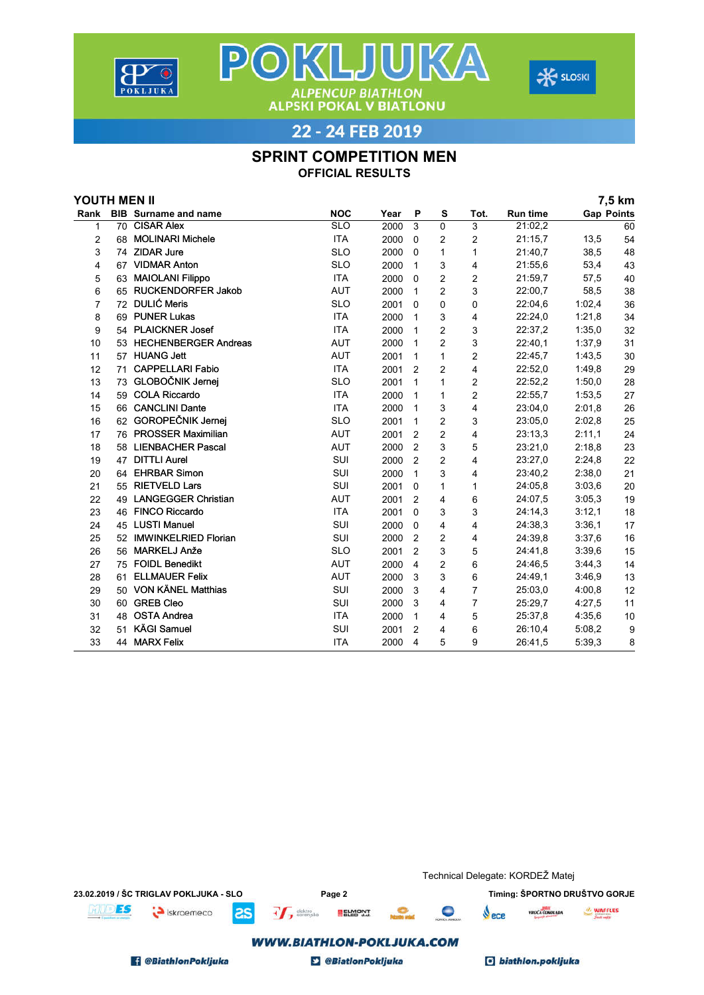



22 - 24 FEB 2019

**ALPENCUP BIATHLON<br>ALPSKI POKAL V BIATLONU** 

POKLJUKA

## SPRINT COMPETITION MEN

OFFICIAL RESULTS

| YOUTH MEN II |    |                             |            |      |                |                |                |                 |                   | 7,5 km |
|--------------|----|-----------------------------|------------|------|----------------|----------------|----------------|-----------------|-------------------|--------|
| Rank         |    | <b>BIB</b> Surname and name | <b>NOC</b> | Year | P              | S              | Tot.           | <b>Run time</b> | <b>Gap Points</b> |        |
| 1            |    | 70 CISAR Alex               | <b>SLO</b> | 2000 | 3              | $\mathbf 0$    | 3              | 21:02.2         |                   | 60     |
| 2            | 68 | <b>MOLINARI Michele</b>     | <b>ITA</b> | 2000 | $\Omega$       | 2              | $\overline{c}$ | 21:15,7         | 13,5              | 54     |
| 3            |    | 74 ZIDAR Jure               | <b>SLO</b> | 2000 | $\Omega$       | 1              | 1              | 21:40,7         | 38,5              | 48     |
| 4            |    | 67 VIDMAR Anton             | <b>SLO</b> | 2000 | 1              | 3              | 4              | 21:55,6         | 53,4              | 43     |
| 5            | 63 | <b>MAIOLANI Filippo</b>     | <b>ITA</b> | 2000 | $\Omega$       | $\overline{c}$ | 2              | 21:59,7         | 57,5              | 40     |
| 6            |    | 65 RUCKENDORFER Jakob       | <b>AUT</b> | 2000 | $\mathbf{1}$   | $\overline{c}$ | 3              | 22:00,7         | 58,5              | 38     |
| 7            |    | 72 DULIĆ Meris              | <b>SLO</b> | 2001 | $\Omega$       | 0              | 0              | 22:04.6         | 1:02,4            | 36     |
| 8            |    | 69 PUNER Lukas              | <b>ITA</b> | 2000 | $\mathbf{1}$   | 3              | 4              | 22:24,0         | 1:21,8            | 34     |
| 9            |    | 54 PLAICKNER Josef          | <b>ITA</b> | 2000 | 1              | $\overline{c}$ | 3              | 22:37,2         | 1:35.0            | 32     |
| 10           |    | 53 HECHENBERGER Andreas     | AUT        | 2000 | $\mathbf{1}$   | $\overline{c}$ | 3              | 22:40.1         | 1:37,9            | 31     |
| 11           |    | 57 HUANG Jett               | <b>AUT</b> | 2001 | 1              | 1              | 2              | 22:45,7         | 1:43,5            | 30     |
| 12           | 71 | <b>CAPPELLARI Fabio</b>     | <b>ITA</b> | 2001 | 2              | $\overline{2}$ | 4              | 22:52,0         | 1:49.8            | 29     |
| 13           |    | 73 GLOBOČNIK Jernej         | <b>SLO</b> | 2001 | 1              | 1              | 2              | 22:52.2         | 1:50,0            | 28     |
| 14           |    | 59 COLA Riccardo            | <b>ITA</b> | 2000 | $\mathbf{1}$   | 1              | $\overline{2}$ | 22:55.7         | 1:53,5            | 27     |
| 15           |    | 66 CANCLINI Dante           | <b>ITA</b> | 2000 | $\mathbf{1}$   | 3              | 4              | 23:04,0         | 2:01.8            | 26     |
| 16           |    | 62 GOROPEČNIK Jernej        | <b>SLO</b> | 2001 | 1              | $\overline{c}$ | 3              | 23:05.0         | 2:02.8            | 25     |
| 17           |    | 76 PROSSER Maximilian       | <b>AUT</b> | 2001 | $\overline{2}$ | $\overline{c}$ | 4              | 23:13,3         | 2:11,1            | 24     |
| 18           | 58 | <b>LIENBACHER Pascal</b>    | <b>AUT</b> | 2000 | 2              | 3              | 5              | 23:21,0         | 2:18.8            | 23     |
| 19           |    | 47 DITTLI Aurel             | SUI        | 2000 | $\overline{2}$ | 2              | 4              | 23:27,0         | 2:24,8            | 22     |
| 20           | 64 | <b>EHRBAR Simon</b>         | SUI        | 2000 | 1              | 3              | 4              | 23:40,2         | 2:38,0            | 21     |
| 21           |    | 55 RIETVELD Lars            | SUI        | 2001 | $\Omega$       | 1              | 1              | 24:05.8         | 3:03.6            | 20     |
| 22           | 49 | <b>LANGEGGER Christian</b>  | <b>AUT</b> | 2001 | 2              | 4              | 6              | 24:07.5         | 3:05.3            | 19     |
| 23           |    | 46 FINCO Riccardo           | <b>ITA</b> | 2001 | $\Omega$       | 3              | 3              | 24:14,3         | 3:12,1            | 18     |
| 24           |    | 45 LUSTI Manuel             | SUI        | 2000 | $\Omega$       | 4              | 4              | 24:38.3         | 3:36,1            | 17     |
| 25           | 52 | <b>IMWINKELRIED Florian</b> | SUI        | 2000 | $\overline{2}$ | 2              | 4              | 24:39.8         | 3:37,6            | 16     |
| 26           | 56 | MARKELJ Anže                | <b>SLO</b> | 2001 | $\overline{2}$ | 3              | 5              | 24:41,8         | 3:39,6            | 15     |
| 27           |    | 75 FOIDL Benedikt           | <b>AUT</b> | 2000 | 4              | $\overline{c}$ | 6              | 24:46,5         | 3:44.3            | 14     |
| 28           | 61 | <b>ELLMAUER Felix</b>       | <b>AUT</b> | 2000 | 3              | 3              | 6              | 24:49.1         | 3:46.9            | 13     |
| 29           |    | 50 VON KÄNEL Matthias       | SUI        | 2000 | 3              | 4              | $\overline{7}$ | 25:03,0         | 4:00.8            | 12     |
| 30           |    | 60 GREB Cleo                | SUI        | 2000 | 3              | 4              | $\overline{7}$ | 25:29,7         | 4:27,5            | 11     |
| 31           | 48 | <b>OSTA Andrea</b>          | <b>ITA</b> | 2000 | 1              | 4              | 5              | 25:37,8         | 4:35,6            | 10     |
| 32           | 51 | <b>KÄGI Samuel</b>          | SUI        | 2001 | $\overline{2}$ | 4              | 6              | 26:10,4         | 5:08,2            | 9      |
| 33           |    | 44 MARX Felix               | <b>ITA</b> | 2000 | 4              | 5              | 9              | 26:41,5         | 5:39.3            | 8      |

|                                        |                                  |           |                           |               | Technical Delegate: KORDEŽ Matej |   |                                   |                |         |  |
|----------------------------------------|----------------------------------|-----------|---------------------------|---------------|----------------------------------|---|-----------------------------------|----------------|---------|--|
| 23.02.2019 / ŠC TRIGLAV POKLJUKA - SLO |                                  |           | Page 2                    |               |                                  |   | Timing: ŠPORTNO DRUŠTVO GORJE     |                |         |  |
| ES                                     | iskraemeco                       | <b>as</b> | $+$ $\leftarrow$ elektro  | <b>ELMONT</b> | <b>North and</b>                 | c | $\mathbf{V}$ ece                  | VROČA ČOKOLADA | WAFFLES |  |
|                                        | <b>WWW.BIATHLON-POKLJUKA.COM</b> |           |                           |               |                                  |   |                                   |                |         |  |
| <b>8 @BiathlonPokljuka</b>             |                                  |           | <b>D</b> @BiatlonPokljuka |               |                                  |   | <b><i>C</i></b> biathlon.pokljuka |                |         |  |